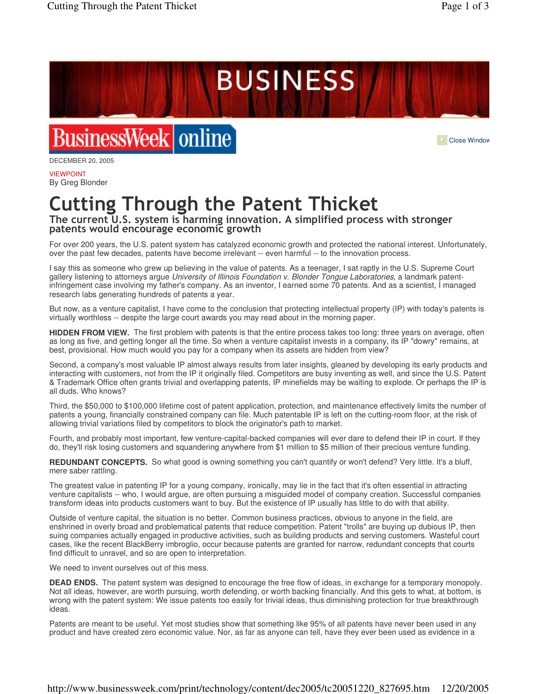Close Window



## BusinessWeek|online`

DECEMBER 20, 2005

VIEWPOINT By Greg Blonder

## **Cutting Through the Patent Thicket**

## The current U.S. system is harming innovation. A simplified process with stronger patents would encourage economic growth

For over 200 years, the U.S. patent system has catalyzed economic growth and protected the national interest. Unfortunately, over the past few decades, patents have become irrelevant -- even harmful -- to the innovation process.

I say this as someone who grew up believing in the value of patents. As a teenager, I sat raptly in the U.S. Supreme Court gallery listening to attorneys argue *University of Illinois Foundation v. Blonder Tongue Laboratories*, a landmark patentinfringement case involving my father's company. As an inventor, I earned some 70 patents. And as a scientist, I managed research labs generating hundreds of patents a year.

But now, as a venture capitalist, I have come to the conclusion that protecting intellectual property (IP) with today's patents is virtually worthless -- despite the large court awards you may read about in the morning paper.

**HIDDEN FROM VIEW.** The first problem with patents is that the entire process takes too long: three years on average, often as long as five, and getting longer all the time. So when a venture capitalist invests in a company, its IP "dowry" remains, at best, provisional. How much would you pay for a company when its assets are hidden from view?

Second, a company's most valuable IP almost always results from later insights, gleaned by developing its early products and interacting with customers, not from the IP it originally filed. Competitors are busy inventing as well, and since the U.S. Patent & Trademark Office often grants trivial and overlapping patents, IP minefields may be waiting to explode. Or perhaps the IP is all duds. Who knows?

Third, the \$50,000 to \$100,000 lifetime cost of patent application, protection, and maintenance effectively limits the number of patents a young, financially constrained company can file. Much patentable IP is left on the cutting-room floor, at the risk of allowing trivial variations filed by competitors to block the originator's path to market.

Fourth, and probably most important, few venture-capital-backed companies will ever dare to defend their IP in court. If they do, they'll risk losing customers and squandering anywhere from \$1 million to \$5 million of their precious venture funding.

**REDUNDANT CONCEPTS.** So what good is owning something you can't quantify or won't defend? Very little. It's a bluff, mere saber rattling.

The greatest value in patenting IP for a young company, ironically, may lie in the fact that it's often essential in attracting venture capitalists -- who, I would argue, are often pursuing a misguided model of company creation. Successful companies transform ideas into products customers want to buy. But the existence of IP usually has little to do with that ability.

Outside of venture capital, the situation is no better. Common business practices, obvious to anyone in the field, are enshrined in overly broad and problematical patents that reduce competition. Patent "trolls" are buying up dubious IP, then suing companies actually engaged in productive activities, such as building products and serving customers. Wasteful court cases, like the recent BlackBerry imbroglio, occur because patents are granted for narrow, redundant concepts that courts find difficult to unravel, and so are open to interpretation.

We need to invent ourselves out of this mess.

**DEAD ENDS.** The patent system was designed to encourage the free flow of ideas, in exchange for a temporary monopoly. Not all ideas, however, are worth pursuing, worth defending, or worth backing financially. And this gets to what, at bottom, is wrong with the patent system: We issue patents too easily for trivial ideas, thus diminishing protection for true breakthrough ideas.

Patents are meant to be useful. Yet most studies show that something like 95% of all patents have never been used in any product and have created zero economic value. Nor, as far as anyone can tell, have they ever been used as evidence in a

http://www.businessweek.com/print/technology/content/dec2005/tc20051220\_827695.htm 12/20/2005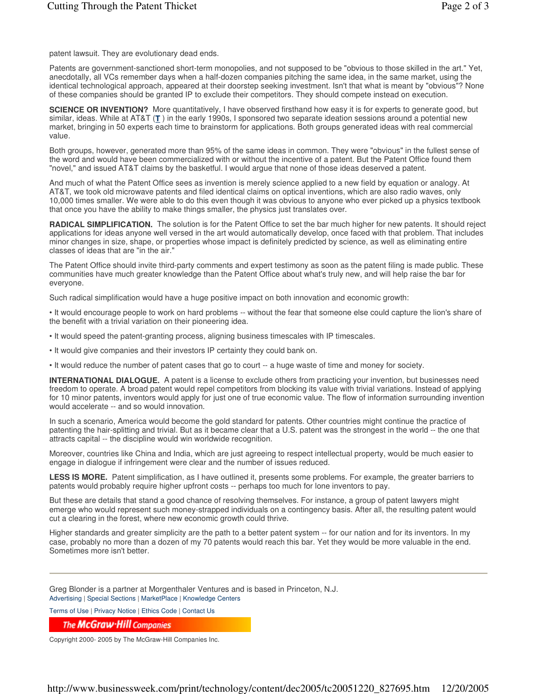patent lawsuit. They are evolutionary dead ends.

Patents are government-sanctioned short-term monopolies, and not supposed to be "obvious to those skilled in the art." Yet, anecdotally, all VCs remember days when a half-dozen companies pitching the same idea, in the same market, using the identical technological approach, appeared at their doorstep seeking investment. Isn't that what is meant by "obvious"? None of these companies should be granted IP to exclude their competitors. They should compete instead on execution.

**SCIENCE OR INVENTION?** More quantitatively, I have observed firsthand how easy it is for experts to generate good, but similar, ideas. While at AT&T (**T** ) in the early 1990s, I sponsored two separate ideation sessions around a potential new market, bringing in 50 experts each time to brainstorm for applications. Both groups generated ideas with real commercial value.

Both groups, however, generated more than 95% of the same ideas in common. They were "obvious" in the fullest sense of the word and would have been commercialized with or without the incentive of a patent. But the Patent Office found them "novel," and issued AT&T claims by the basketful. I would argue that none of those ideas deserved a patent.

And much of what the Patent Office sees as invention is merely science applied to a new field by equation or analogy. At AT&T, we took old microwave patents and filed identical claims on optical inventions, which are also radio waves, only 10,000 times smaller. We were able to do this even though it was obvious to anyone who ever picked up a physics textbook that once you have the ability to make things smaller, the physics just translates over.

**RADICAL SIMPLIFICATION.** The solution is for the Patent Office to set the bar much higher for new patents. It should reject applications for ideas anyone well versed in the art would automatically develop, once faced with that problem. That includes minor changes in size, shape, or properties whose impact is definitely predicted by science, as well as eliminating entire classes of ideas that are "in the air."

The Patent Office should invite third-party comments and expert testimony as soon as the patent filing is made public. These communities have much greater knowledge than the Patent Office about what's truly new, and will help raise the bar for everyone.

Such radical simplification would have a huge positive impact on both innovation and economic growth:

• It would encourage people to work on hard problems -- without the fear that someone else could capture the lion's share of the benefit with a trivial variation on their pioneering idea.

• It would speed the patent-granting process, aligning business timescales with IP timescales.

• It would give companies and their investors IP certainty they could bank on.

• It would reduce the number of patent cases that go to court -- a huge waste of time and money for society.

**INTERNATIONAL DIALOGUE.** A patent is a license to exclude others from practicing your invention, but businesses need freedom to operate. A broad patent would repel competitors from blocking its value with trivial variations. Instead of applying for 10 minor patents, inventors would apply for just one of true economic value. The flow of information surrounding invention would accelerate -- and so would innovation.

In such a scenario, America would become the gold standard for patents. Other countries might continue the practice of patenting the hair-splitting and trivial. But as it became clear that a U.S. patent was the strongest in the world -- the one that attracts capital -- the discipline would win worldwide recognition.

Moreover, countries like China and India, which are just agreeing to respect intellectual property, would be much easier to engage in dialogue if infringement were clear and the number of issues reduced.

**LESS IS MORE.** Patent simplification, as I have outlined it, presents some problems. For example, the greater barriers to patents would probably require higher upfront costs -- perhaps too much for lone inventors to pay.

But these are details that stand a good chance of resolving themselves. For instance, a group of patent lawyers might emerge who would represent such money-strapped individuals on a contingency basis. After all, the resulting patent would cut a clearing in the forest, where new economic growth could thrive.

Higher standards and greater simplicity are the path to a better patent system -- for our nation and for its inventors. In my case, probably no more than a dozen of my 70 patents would reach this bar. Yet they would be more valuable in the end. Sometimes more isn't better.

Greg Blonder is a partner at Morgenthaler Ventures and is based in Princeton, N.J. Advertising | Special Sections | MarketPlace | Knowledge Centers

Terms of Use | Privacy Notice | Ethics Code | Contact Us

The **McGraw·Hill** Companies

Copyright 2000- 2005 by The McGraw-Hill Companies Inc.